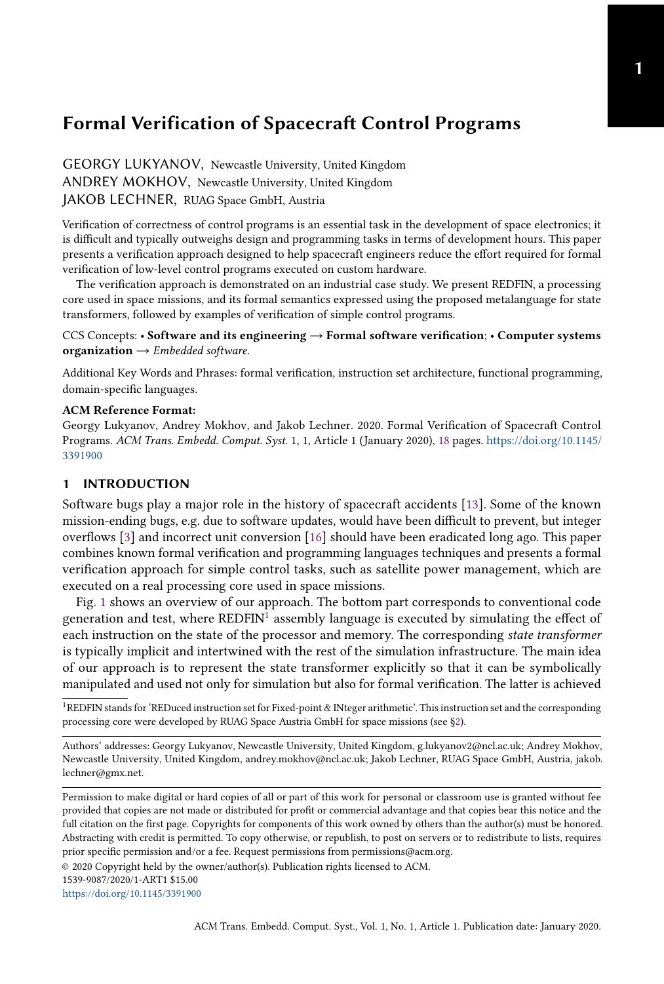GEORGY LUKYANOV, Newcastle University, United Kingdom ANDREY MOKHOV, Newcastle University, United Kingdom JAKOB LECHNER, RUAG Space GmbH, Austria

Verification of correctness of control programs is an essential task in the development of space electronics; it is difficult and typically outweighs design and programming tasks in terms of development hours. This paper presents a verification approach designed to help spacecraft engineers reduce the effort required for formal verification of low-level control programs executed on custom hardware.

The verification approach is demonstrated on an industrial case study. We present REDFIN, a processing core used in space missions, and its formal semantics expressed using the proposed metalanguage for state transformers, followed by examples of verification of simple control programs.

#### CCS Concepts: • Software and its engineering  $\rightarrow$  Formal software verification; • Computer systems organization  $\rightarrow$  Embedded software.

Additional Key Words and Phrases: formal verification, instruction set architecture, functional programming, domain-specific languages.

#### ACM Reference Format:

Georgy Lukyanov, Andrey Mokhov, and Jakob Lechner. 2020. Formal Verification of Spacecraft Control Programs. ACM Trans. Embedd. Comput. Syst. 1, 1, Article 1 (January 2020), [18](#page-17-0) pages. [https://doi.org/10.1145/](https://doi.org/10.1145/3391900) [3391900](https://doi.org/10.1145/3391900)

#### 1 INTRODUCTION

Software bugs play a major role in the history of spacecraft accidents [\[13\]](#page-17-1). Some of the known mission-ending bugs, e.g. due to software updates, would have been difficult to prevent, but integer overflows [\[3\]](#page-16-0) and incorrect unit conversion [\[16\]](#page-17-2) should have been eradicated long ago. This paper combines known formal verification and programming languages techniques and presents a formal verification approach for simple control tasks, such as satellite power management, which are executed on a real processing core used in space missions.

Fig. [1](#page-1-0) shows an overview of our approach. The bottom part corresponds to conventional code generation and test, where  $REDFIN<sup>1</sup>$  $REDFIN<sup>1</sup>$  $REDFIN<sup>1</sup>$  assembly language is executed by simulating the effect of each instruction on the state of the processor and memory. The corresponding state transformer is typically implicit and intertwined with the rest of the simulation infrastructure. The main idea of our approach is to represent the state transformer explicitly so that it can be symbolically manipulated and used not only for simulation but also for formal verification. The latter is achieved

<span id="page-0-0"></span><sup>1</sup>REDFIN stands for 'REDuced instruction set for Fixed-point & INteger arithmetic'. This instruction set and the corresponding processing core were developed by RUAG Space Austria GmbH for space missions (see [§2\)](#page-1-1).

Authors' addresses: Georgy Lukyanov, Newcastle University, United Kingdom, g.lukyanov2@ncl.ac.uk; Andrey Mokhov, Newcastle University, United Kingdom, andrey.mokhov@ncl.ac.uk; Jakob Lechner, RUAG Space GmbH, Austria, jakob. lechner@gmx.net.

Permission to make digital or hard copies of all or part of this work for personal or classroom use is granted without fee provided that copies are not made or distributed for profit or commercial advantage and that copies bear this notice and the full citation on the first page. Copyrights for components of this work owned by others than the author(s) must be honored. Abstracting with credit is permitted. To copy otherwise, or republish, to post on servers or to redistribute to lists, requires prior specific permission and/or a fee. Request permissions from permissions@acm.org.

© 2020 Copyright held by the owner/author(s). Publication rights licensed to ACM.

<https://doi.org/10.1145/3391900>

<sup>1539-9087/2020/1-</sup>ART1 \$15.00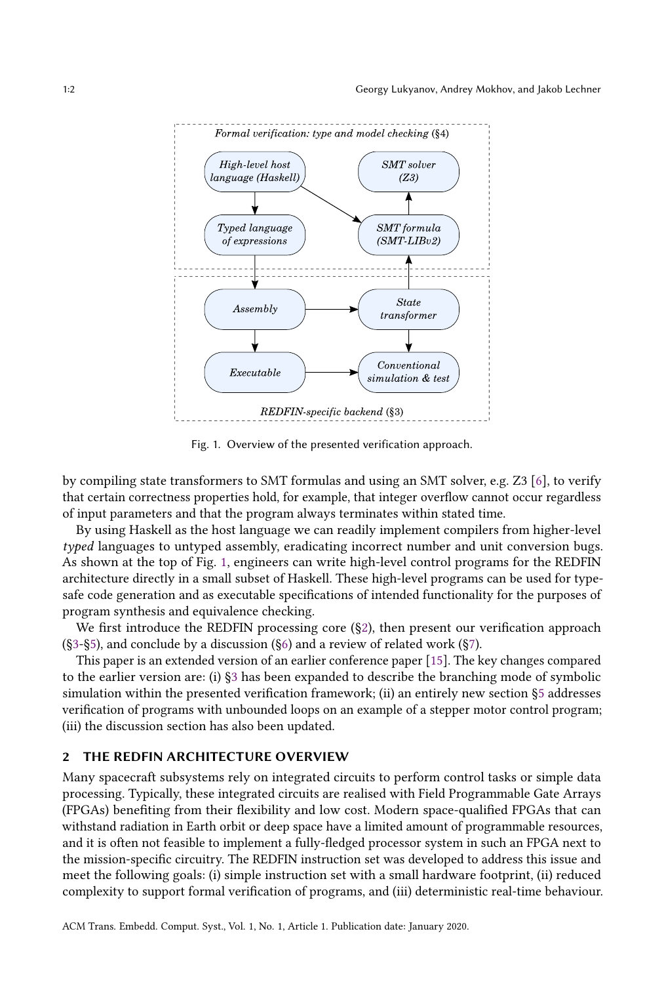<span id="page-1-0"></span>

Fig. 1. Overview of the presented verification approach.

by compiling state transformers to SMT formulas and using an SMT solver, e.g. Z3 [\[6\]](#page-16-1), to verify that certain correctness properties hold, for example, that integer overflow cannot occur regardless of input parameters and that the program always terminates within stated time.

By using Haskell as the host language we can readily implement compilers from higher-level typed languages to untyped assembly, eradicating incorrect number and unit conversion bugs. As shown at the top of Fig. [1,](#page-1-0) engineers can write high-level control programs for the REDFIN architecture directly in a small subset of Haskell. These high-level programs can be used for typesafe code generation and as executable specifications of intended functionality for the purposes of program synthesis and equivalence checking.

We first introduce the REDFIN processing core ([§2\)](#page-1-1), then present our verification approach  $(S3-\S5)$ , and conclude by a discussion  $(S6)$  and a review of related work  $(S7)$ .

This paper is an extended version of an earlier conference paper [\[15\]](#page-17-3). The key changes compared to the earlier version are: (i) [§3](#page-2-0) has been expanded to describe the branching mode of symbolic simulation within the presented verification framework; (ii) an entirely new section [§5](#page-11-0) addresses verification of programs with unbounded loops on an example of a stepper motor control program; (iii) the discussion section has also been updated.

# <span id="page-1-1"></span>2 THE REDFIN ARCHITECTURE OVERVIEW

Many spacecraft subsystems rely on integrated circuits to perform control tasks or simple data processing. Typically, these integrated circuits are realised with Field Programmable Gate Arrays (FPGAs) benefiting from their flexibility and low cost. Modern space-qualified FPGAs that can withstand radiation in Earth orbit or deep space have a limited amount of programmable resources, and it is often not feasible to implement a fully-fledged processor system in such an FPGA next to the mission-specific circuitry. The REDFIN instruction set was developed to address this issue and meet the following goals: (i) simple instruction set with a small hardware footprint, (ii) reduced complexity to support formal verification of programs, and (iii) deterministic real-time behaviour.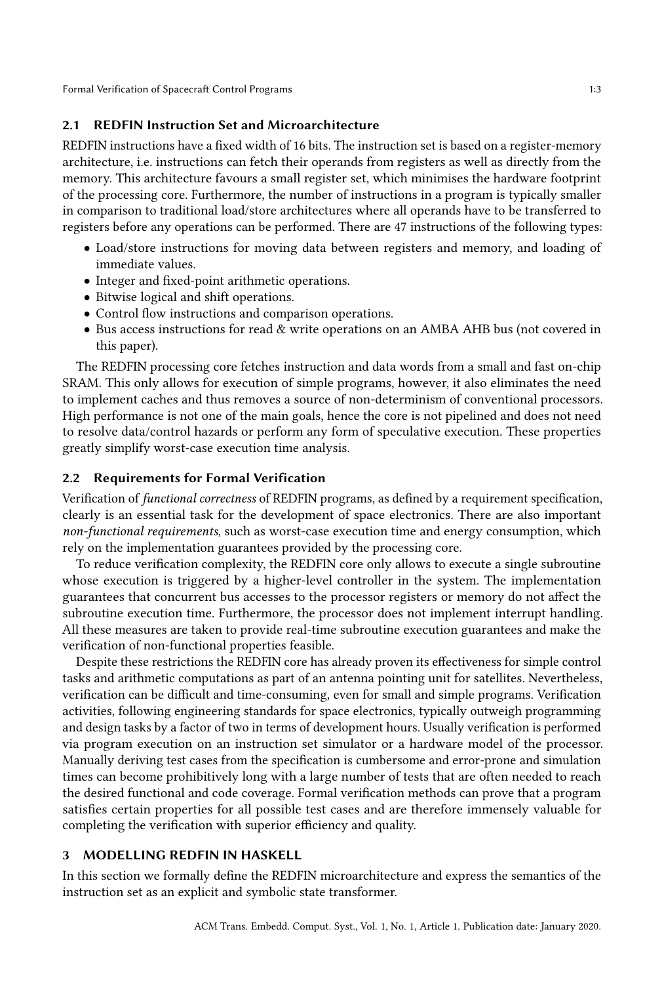## 2.1 REDFIN Instruction Set and Microarchitecture

REDFIN instructions have a fixed width of 16 bits. The instruction set is based on a register-memory architecture, i.e. instructions can fetch their operands from registers as well as directly from the memory. This architecture favours a small register set, which minimises the hardware footprint of the processing core. Furthermore, the number of instructions in a program is typically smaller in comparison to traditional load/store architectures where all operands have to be transferred to registers before any operations can be performed. There are 47 instructions of the following types:

- Load/store instructions for moving data between registers and memory, and loading of immediate values.
- Integer and fixed-point arithmetic operations.
- Bitwise logical and shift operations.
- Control flow instructions and comparison operations.
- Bus access instructions for read & write operations on an AMBA AHB bus (not covered in this paper).

The REDFIN processing core fetches instruction and data words from a small and fast on-chip SRAM. This only allows for execution of simple programs, however, it also eliminates the need to implement caches and thus removes a source of non-determinism of conventional processors. High performance is not one of the main goals, hence the core is not pipelined and does not need to resolve data/control hazards or perform any form of speculative execution. These properties greatly simplify worst-case execution time analysis.

# 2.2 Requirements for Formal Verification

Verification of functional correctness of REDFIN programs, as defined by a requirement specification, clearly is an essential task for the development of space electronics. There are also important non-functional requirements, such as worst-case execution time and energy consumption, which rely on the implementation guarantees provided by the processing core.

To reduce verification complexity, the REDFIN core only allows to execute a single subroutine whose execution is triggered by a higher-level controller in the system. The implementation guarantees that concurrent bus accesses to the processor registers or memory do not affect the subroutine execution time. Furthermore, the processor does not implement interrupt handling. All these measures are taken to provide real-time subroutine execution guarantees and make the verification of non-functional properties feasible.

Despite these restrictions the REDFIN core has already proven its effectiveness for simple control tasks and arithmetic computations as part of an antenna pointing unit for satellites. Nevertheless, verification can be difficult and time-consuming, even for small and simple programs. Verification activities, following engineering standards for space electronics, typically outweigh programming and design tasks by a factor of two in terms of development hours. Usually verification is performed via program execution on an instruction set simulator or a hardware model of the processor. Manually deriving test cases from the specification is cumbersome and error-prone and simulation times can become prohibitively long with a large number of tests that are often needed to reach the desired functional and code coverage. Formal verification methods can prove that a program satisfies certain properties for all possible test cases and are therefore immensely valuable for completing the verification with superior efficiency and quality.

# <span id="page-2-0"></span>3 MODELLING REDFIN IN HASKELL

In this section we formally define the REDFIN microarchitecture and express the semantics of the instruction set as an explicit and symbolic state transformer.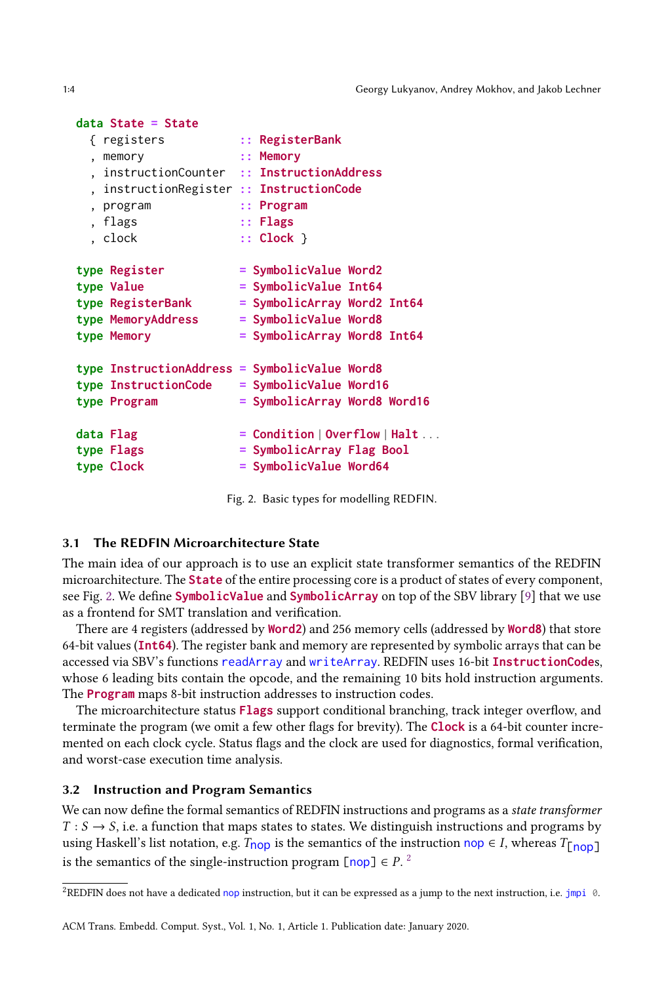1:4 Georgy Lukyanov, Andrey Mokhov, and Jakob Lechner

#### <span id="page-3-0"></span>**data State = State**

| { registers                                   | $::$ RegisterBank                                   |  |
|-----------------------------------------------|-----------------------------------------------------|--|
| , memory                                      | :: Memory                                           |  |
| , instructionCounter :: InstructionAddress    |                                                     |  |
| instructionRegister :: InstructionCode        |                                                     |  |
| , program                                     | $::$ Program                                        |  |
| , flags                                       | $\cdots$ Flags                                      |  |
| . clock                                       | $\therefore$ Clock $\}$                             |  |
|                                               |                                                     |  |
| type Register                                 | $=$ SymbolicValue Word2                             |  |
| type Value                                    | $=$ SymbolicValue Int64                             |  |
| type RegisterBank                             | $=$ SymbolicArray Word2 Int64                       |  |
| type MemoryAddress                            | $=$ SymbolicValue Word8                             |  |
| type Memory                                   | = SymbolicArray Word8 Int64                         |  |
| type InstructionAddress = SymbolicValue Word8 |                                                     |  |
| type InstructionCode                          | $=$ SymbolicValue Word16                            |  |
| type Program                                  | = SymbolicArray Word8 Word16                        |  |
|                                               |                                                     |  |
| data Flag                                     | $=$ Condition $\vert$ Overflow $\vert$ Halt $\dots$ |  |
| type Flags                                    | = SymbolicArray Flag Bool                           |  |
| type Clock                                    | = SymbolicValue Word64                              |  |
|                                               |                                                     |  |

Fig. 2. Basic types for modelling REDFIN.

## 3.1 The REDFIN Microarchitecture State

The main idea of our approach is to use an explicit state transformer semantics of the REDFIN microarchitecture. The **State** of the entire processing core is a product of states of every component, see Fig. [2.](#page-3-0) We define **SymbolicValue** and **SymbolicArray** on top of the SBV library [\[9\]](#page-16-2) that we use as a frontend for SMT translation and verification.

There are 4 registers (addressed by **Word2**) and 256 memory cells (addressed by **Word8**) that store 64-bit values (**Int64**). The register bank and memory are represented by symbolic arrays that can be accessed via SBV's functions readArray and writeArray. REDFIN uses 16-bit **InstructionCode**s, whose 6 leading bits contain the opcode, and the remaining 10 bits hold instruction arguments. The **Program** maps 8-bit instruction addresses to instruction codes.

The microarchitecture status **Flags** support conditional branching, track integer overflow, and terminate the program (we omit a few other flags for brevity). The **Clock** is a 64-bit counter incremented on each clock cycle. Status flags and the clock are used for diagnostics, formal verification, and worst-case execution time analysis.

## 3.2 Instruction and Program Semantics

We can now define the formal semantics of REDFIN instructions and programs as a state transformer  $T : S \rightarrow S$ , i.e. a function that maps states to states. We distinguish instructions and programs by using Haskell's list notation, e.g.  $T_{\text{loop}}$  is the semantics of the instruction nop  $\in I$ , whereas  $T_{\text{[loop]}}$ is the semantics of the single-instruction program  $\lceil$  nop $\rceil \in P$ .<sup>[2](#page-3-1)</sup>

<span id="page-3-1"></span><sup>2</sup>REDFIN does not have a dedicated nop instruction, but it can be expressed as a jump to the next instruction, i.e. jmpi 0.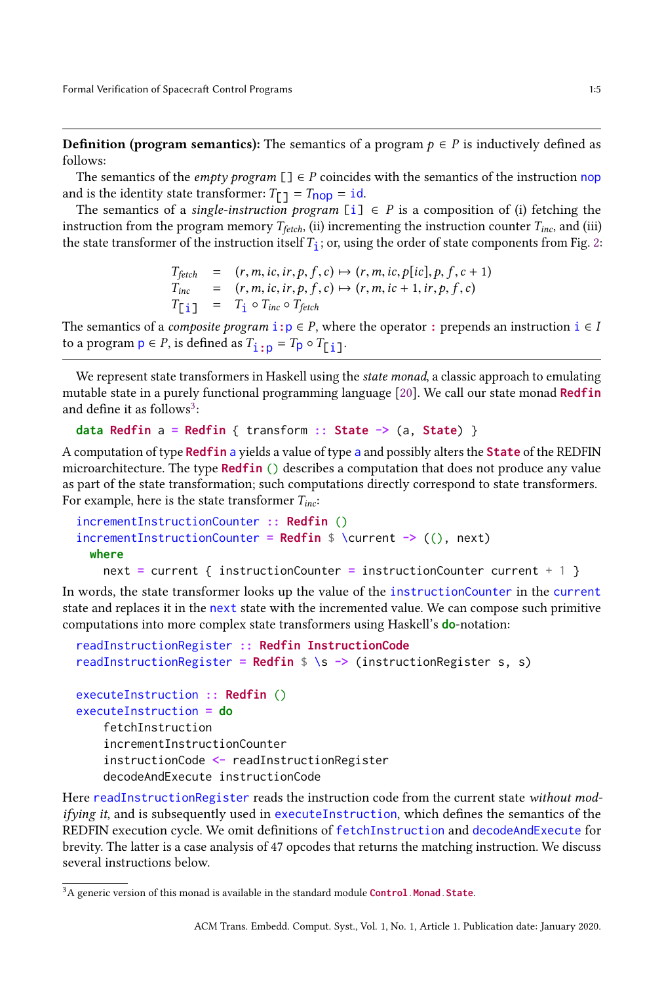**Definition (program semantics):** The semantics of a program  $p \in P$  is inductively defined as follows:

The semantics of the *empty program*  $[\ ] \in P$  coincides with the semantics of the instruction nop and is the identity state transformer:  $T_{\square} = T_{\square} = id$ .

The semantics of a single-instruction program [i]  $\in$  P is a composition of (i) fetching the instruction from the program memory  $T_{\text{fetch}}$ , (ii) incrementing the instruction counter  $T_{\text{inc}}$ , and (iii) the state transformer of the instruction itself  $T_1$ ; or, using the order of state components from Fig. [2:](#page-3-0)

$$
T_{\text{fetch}} = (r, m, ic, ir, p, f, c) \mapsto (r, m, ic, p[ic], p, f, c + 1)
$$
  
\n
$$
T_{\text{inc}} = (r, m, ic, ir, p, f, c) \mapsto (r, m, ic + 1, ir, p, f, c)
$$
  
\n
$$
T_{\text{L}} = T_{\text{i}} \circ T_{\text{inc}} \circ T_{\text{fetch}}
$$

The semantics of a *composite program*  $\mathbf{i}: \mathbf{p} \in P$ , where the operator  $\mathbf{j}: \mathbf{p} \in P$  is prepends an instruction  $\mathbf{i} \in I$ to a program  $p \in P$ , is defined as  $T_{i:p} = T_p \circ T_{[i]}$ .

We represent state transformers in Haskell using the *state monad*, a classic approach to emulating mutable state in a purely functional programming language [\[20\]](#page-17-4). We call our state monad **Redfin** and define it as follows $^{\tilde{3}\tilde{.}}$  $^{\tilde{3}\tilde{.}}$  $^{\tilde{3}\tilde{.}}$ 

```
data Redfin a = Redfin { transform :: State -> (a, State) }
```
A computation of type **Redfin** a yields a value of type a and possibly alters the **State** of the REDFIN microarchitecture. The type **Redfin** () describes a computation that does not produce any value as part of the state transformation; such computations directly correspond to state transformers. For example, here is the state transformer  $T_{inc}$ :

```
incrementInstructionCounter :: Redfin ()
incrementInstructionCounter = Redfin $ \current -> ((), next)
 where
   next = current { instructionCounter = instructionCounter current + 1 }
```
In words, the state transformer looks up the value of the instructionCounter in the current state and replaces it in the next state with the incremented value. We can compose such primitive computations into more complex state transformers using Haskell's **do**-notation:

```
readInstructionRegister :: Redfin InstructionCode
readInstructionRegister = Redfin $ \s -> (instructionRegister s, s)
executeInstruction :: Redfin ()
executeInstruction = do
    fetchInstruction
    incrementInstructionCounter
    instructionCode <- readInstructionRegister
    decodeAndExecute instructionCode
```
Here readInstructionRegister reads the instruction code from the current state without modifying it, and is subsequently used in executeInstruction, which defines the semantics of the REDFIN execution cycle. We omit definitions of fetchInstruction and decodeAndExecute for brevity. The latter is a case analysis of 47 opcodes that returns the matching instruction. We discuss several instructions below.

<span id="page-4-0"></span><sup>3</sup>A generic version of this monad is available in the standard module **Control**.**Monad**.**State**.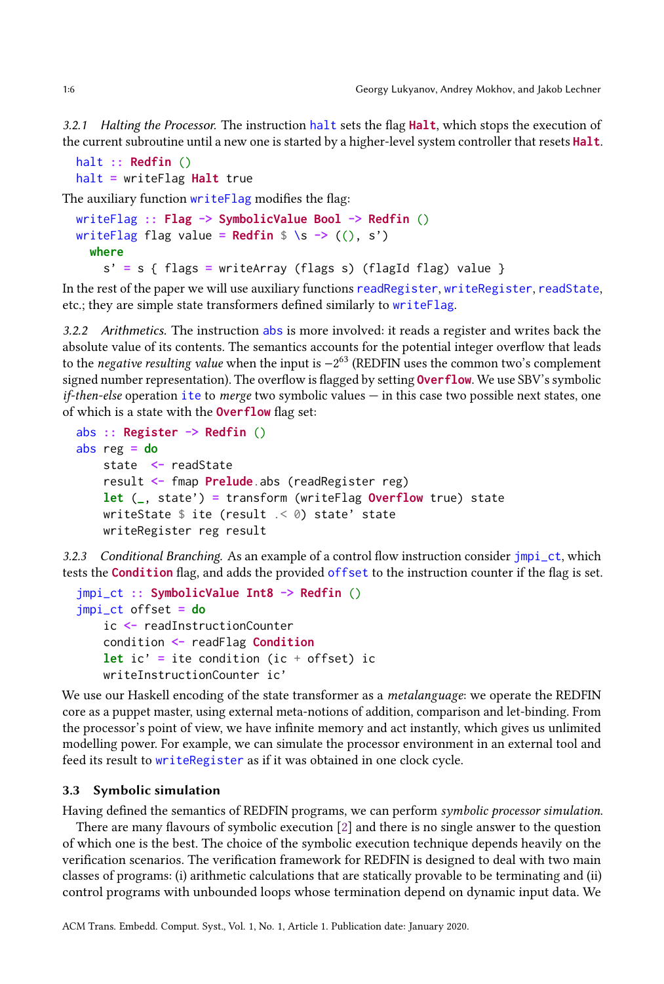3.2.1 Halting the Processor. The instruction halt sets the flag **Halt**, which stops the execution of the current subroutine until a new one is started by a higher-level system controller that resets **Halt**.

```
halt :: Redfin ()
halt = writeFlag Halt true
```
The auxiliary function writeFlag modifies the flag:

```
writeFlag :: Flag -> SymbolicValue Bool -> Redfin ()
writeFlag flag value = \text{Redfin } $ \s \rightarrow ((), s')
  where
    s' = s { flags = writeArray (flags s) (flagId flag) value }
```
In the rest of the paper we will use auxiliary functions readRegister, writeRegister, readState, etc.; they are simple state transformers defined similarly to writeFlag.

3.2.2 Arithmetics. The instruction abs is more involved: it reads a register and writes back the absolute value of its contents. The semantics accounts for the potential integer overflow that leads to the negative resulting value when the input is −2 <sup>63</sup> (REDFIN uses the common two's complement signed number representation). The overflow is flagged by setting **Overflow**. We use SBV's symbolic  $if$ -then-else operation ite to merge two symbolic values  $-$  in this case two possible next states, one of which is a state with the **Overflow** flag set:

```
abs :: Register -> Redfin ()
abs reg = do
   state <- readState
   result <- fmap Prelude.abs (readRegister reg)
   let (_, state') = transform (writeFlag Overflow true) state
   writeState $ ite (result .< 0) state' state
   writeRegister reg result
```
3.2.3 Conditional Branching. As an example of a control flow instruction consider  $\text{jmpi}$ <sub>-</sub>ct, which tests the **Condition** flag, and adds the provided offset to the instruction counter if the flag is set.

```
jmpi_ct :: SymbolicValue Int8 -> Redfin ()
jmpi_ct offset = do
   ic <- readInstructionCounter
   condition <- readFlag Condition
   let ic' = ite condition (ic + offset) ic
   writeInstructionCounter ic'
```
We use our Haskell encoding of the state transformer as a *metalanguage*: we operate the REDFIN core as a puppet master, using external meta-notions of addition, comparison and let-binding. From the processor's point of view, we have infinite memory and act instantly, which gives us unlimited modelling power. For example, we can simulate the processor environment in an external tool and feed its result to writeRegister as if it was obtained in one clock cycle.

## 3.3 Symbolic simulation

Having defined the semantics of REDFIN programs, we can perform symbolic processor simulation.

There are many flavours of symbolic execution [\[2\]](#page-16-3) and there is no single answer to the question of which one is the best. The choice of the symbolic execution technique depends heavily on the verification scenarios. The verification framework for REDFIN is designed to deal with two main classes of programs: (i) arithmetic calculations that are statically provable to be terminating and (ii) control programs with unbounded loops whose termination depend on dynamic input data. We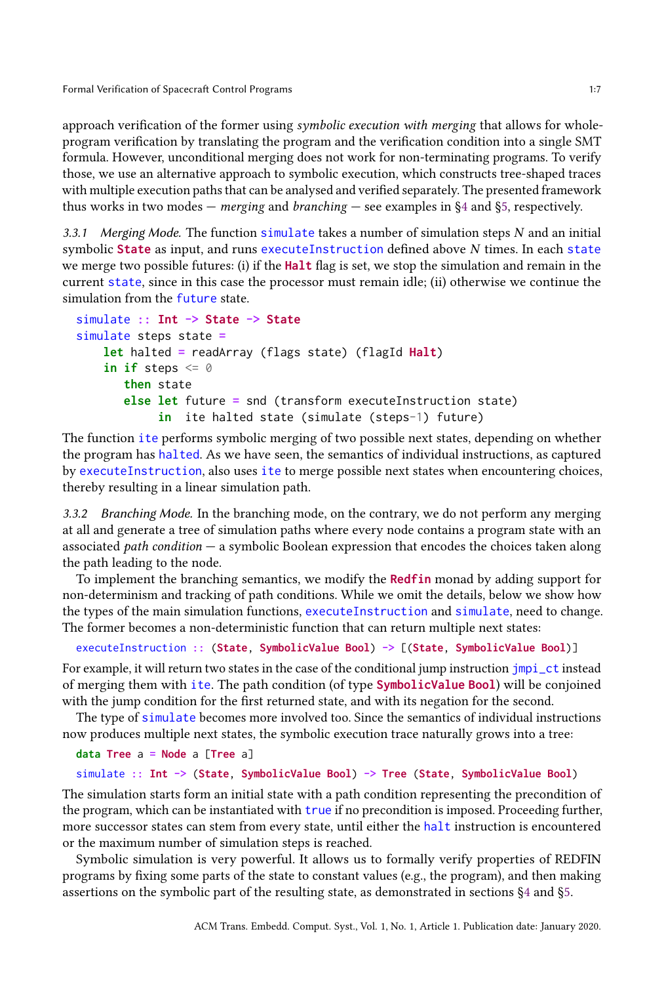approach verification of the former using symbolic execution with merging that allows for wholeprogram verification by translating the program and the verification condition into a single SMT formula. However, unconditional merging does not work for non-terminating programs. To verify those, we use an alternative approach to symbolic execution, which constructs tree-shaped traces with multiple execution paths that can be analysed and verified separately. The presented framework thus works in two modes — *merging* and *branching* — see examples in  $\S4$  and  $\S5$ , respectively.

3.3.1 Merging Mode. The function simulate takes a number of simulation steps  $N$  and an initial symbolic **State** as input, and runs executeInstruction defined above N times. In each state we merge two possible futures: (i) if the **Halt** flag is set, we stop the simulation and remain in the current state, since in this case the processor must remain idle; (ii) otherwise we continue the simulation from the future state.

```
simulate :: Int -> State -> State
simulate steps state =
   let halted = readArray (flags state) (flagId Halt)
    in if steps \leq 0then state
       else let future = snd (transform executeInstruction state)
            in ite halted state (simulate (steps-1) future)
```
The function ite performs symbolic merging of two possible next states, depending on whether the program has halted. As we have seen, the semantics of individual instructions, as captured by executeInstruction, also uses ite to merge possible next states when encountering choices, thereby resulting in a linear simulation path.

3.3.2 Branching Mode. In the branching mode, on the contrary, we do not perform any merging at all and generate a tree of simulation paths where every node contains a program state with an associated *path condition*  $-$  a symbolic Boolean expression that encodes the choices taken along the path leading to the node.

To implement the branching semantics, we modify the **Redfin** monad by adding support for non-determinism and tracking of path conditions. While we omit the details, below we show how the types of the main simulation functions, executeInstruction and simulate, need to change. The former becomes a non-deterministic function that can return multiple next states:

```
executeInstruction :: (State, SymbolicValue Bool) -> [(State, SymbolicValue Bool)]
```
For example, it will return two states in the case of the conditional jump instruction  $\frac{1}{2}$  instead of merging them with ite. The path condition (of type **SymbolicValue Bool**) will be conjoined with the jump condition for the first returned state, and with its negation for the second.

The type of simulate becomes more involved too. Since the semantics of individual instructions now produces multiple next states, the symbolic execution trace naturally grows into a tree:

```
data Tree a = Node a [Tree a]
simulate :: Int -> (State, SymbolicValue Bool) -> Tree (State, SymbolicValue Bool)
```
The simulation starts form an initial state with a path condition representing the precondition of the program, which can be instantiated with true if no precondition is imposed. Proceeding further, more successor states can stem from every state, until either the halt instruction is encountered or the maximum number of simulation steps is reached.

Symbolic simulation is very powerful. It allows us to formally verify properties of REDFIN programs by fixing some parts of the state to constant values (e.g., the program), and then making assertions on the symbolic part of the resulting state, as demonstrated in sections [§4](#page-7-0) and [§5.](#page-11-0)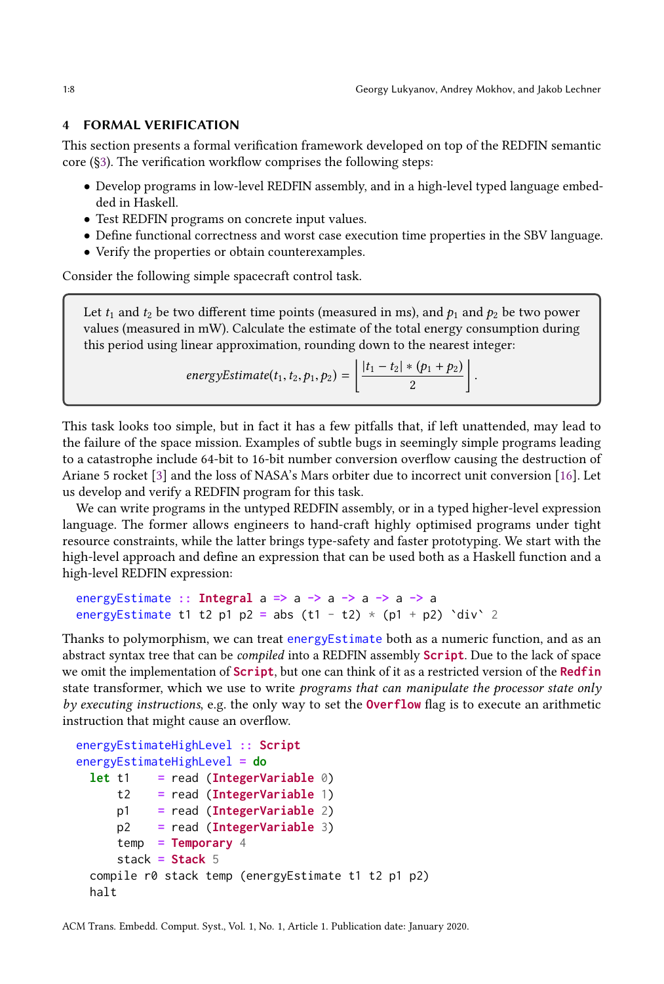#### <span id="page-7-0"></span>4 FORMAL VERIFICATION

This section presents a formal verification framework developed on top of the REDFIN semantic core ([§3\)](#page-2-0). The verification workflow comprises the following steps:

- Develop programs in low-level REDFIN assembly, and in a high-level typed language embedded in Haskell.
- Test REDFIN programs on concrete input values.
- Define functional correctness and worst case execution time properties in the SBV language.
- Verify the properties or obtain counterexamples.

Consider the following simple spacecraft control task.

Let  $t_1$  and  $t_2$  be two different time points (measured in ms), and  $p_1$  and  $p_2$  be two power values (measured in mW). Calculate the estimate of the total energy consumption during this period using linear approximation, rounding down to the nearest integer:  $\frac{1}{2}$  down to the nearest

energyEstimate
$$
(t_1, t_2, p_1, p_2)
$$
 =  $\left\lfloor \frac{|t_1 - t_2| * (p_1 + p_2)}{2} \right\rfloor$ 

This task looks too simple, but in fact it has a few pitfalls that, if left unattended, may lead to the failure of the space mission. Examples of subtle bugs in seemingly simple programs leading to a catastrophe include 64-bit to 16-bit number conversion overflow causing the destruction of Ariane 5 rocket [\[3\]](#page-16-0) and the loss of NASA's Mars orbiter due to incorrect unit conversion [\[16\]](#page-17-2). Let us develop and verify a REDFIN program for this task.

We can write programs in the untyped REDFIN assembly, or in a typed higher-level expression language. The former allows engineers to hand-craft highly optimised programs under tight resource constraints, while the latter brings type-safety and faster prototyping. We start with the high-level approach and define an expression that can be used both as a Haskell function and a high-level REDFIN expression:

```
energyEstimate :: Integral a => a -> a -> a -> a -> a
energyEstimate t1 t2 p1 p2 = abs (t1 - t2) * (p1 + p2) `div` 2
```
Thanks to polymorphism, we can treat energyEstimate both as a numeric function, and as an abstract syntax tree that can be compiled into a REDFIN assembly **Script**. Due to the lack of space we omit the implementation of **Script**, but one can think of it as a restricted version of the **Redfin** state transformer, which we use to write *programs that can manipulate the processor state only* by executing instructions, e.g. the only way to set the **Overflow** flag is to execute an arithmetic instruction that might cause an overflow.

```
energyEstimateHighLevel :: Script
energyEstimateHighLevel = do
 let t1 = read (IntegerVariable 0)
     t2 = read (IntegerVariable 1)
     p1 = read (IntegerVariable 2)
     p2 = read (IntegerVariable 3)
     temp = Temporary 4
     stack = Stack 5
 compile r0 stack temp (energyEstimate t1 t2 p1 p2)
 halt
```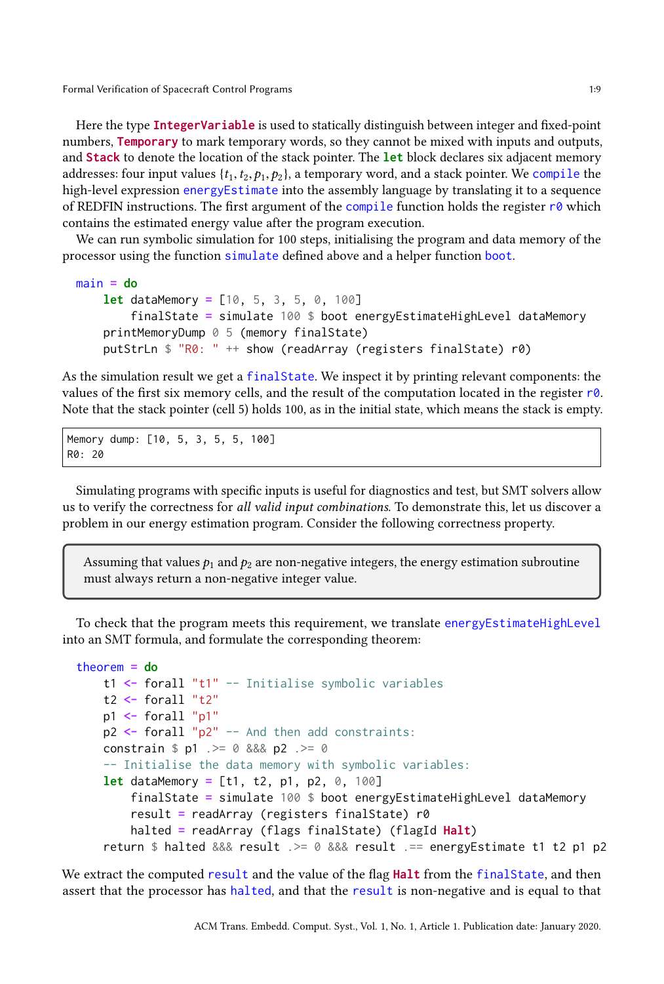Here the type **IntegerVariable** is used to statically distinguish between integer and fixed-point numbers, **Temporary** to mark temporary words, so they cannot be mixed with inputs and outputs, and **Stack** to denote the location of the stack pointer. The **let** block declares six adjacent memory addresses: four input values  $\{t_1, t_2, p_1, p_2\}$ , a temporary word, and a stack pointer. We compile the high-level expression energyEstimate into the assembly language by translating it to a sequence of REDFIN instructions. The first argument of the compile function holds the register  $r\theta$  which contains the estimated energy value after the program execution.

We can run symbolic simulation for 100 steps, initialising the program and data memory of the processor using the function simulate defined above and a helper function boot.

```
main = do
   let dataMemory = [10, 5, 3, 5, 0, 100]
        finalState = simulate 100 $ boot energyEstimateHighLevel dataMemory
    printMemoryDump 0 5 (memory finalState)
    putStrLn $ "R0: " ++ show (readArray (registers finalState) r0)
```
As the simulation result we get a finalState. We inspect it by printing relevant components: the values of the first six memory cells, and the result of the computation located in the register  $r\theta$ . Note that the stack pointer (cell 5) holds 100, as in the initial state, which means the stack is empty.

Memory dump: [10, 5, 3, 5, 5, 100] R0: 20

Simulating programs with specific inputs is useful for diagnostics and test, but SMT solvers allow us to verify the correctness for all valid input combinations. To demonstrate this, let us discover a problem in our energy estimation program. Consider the following correctness property.

Assuming that values  $p_1$  and  $p_2$  are non-negative integers, the energy estimation subroutine must always return a non-negative integer value.

To check that the program meets this requirement, we translate energy Estimate High Level into an SMT formula, and formulate the corresponding theorem:

```
theorem = do
   t1 <- forall "t1" -- Initialise symbolic variables
   t2 <- forall "t2"
   p1 <- forall "p1"
   p2 <- forall "p2" -- And then add constraints:
   constrain $ p1 .>= 0 &&& p2 .>= 0
   -- Initialise the data memory with symbolic variables:
   let dataMemory = [t1, t2, p1, p2, 0, 100]
        finalState = simulate 100 $ boot energyEstimateHighLevel dataMemory
        result = readArray (registers finalState) r0
        halted = readArray (flags finalState) (flagId Halt)
    return $ halted &&& result .>= 0 &&& result .== energyEstimate t1 t2 p1 p2
```
We extract the computed result and the value of the flag **Halt** from the final State, and then assert that the processor has halted, and that the result is non-negative and is equal to that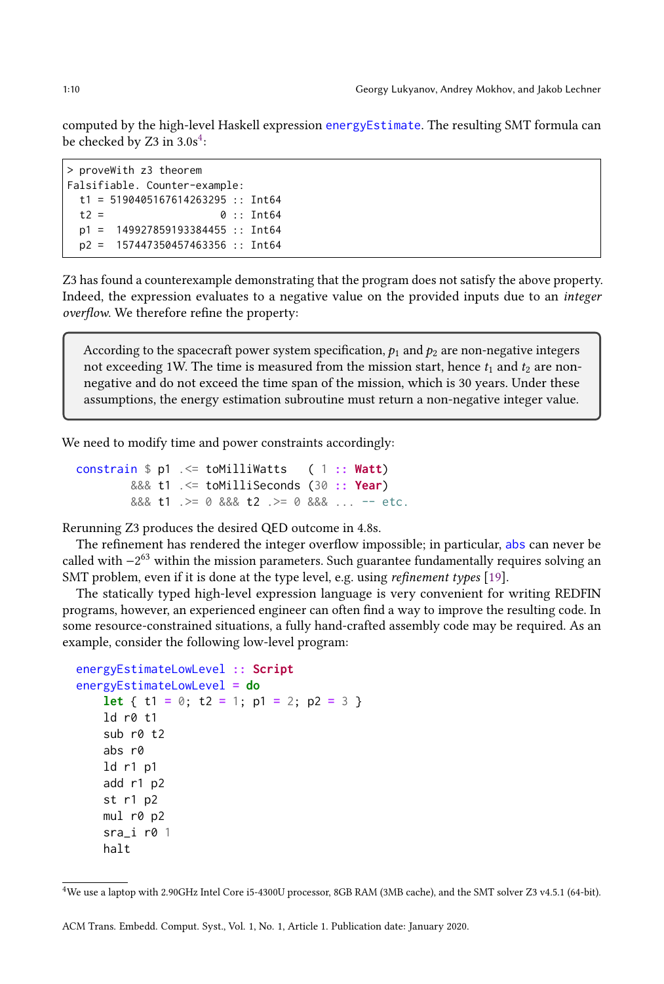computed by the high-level Haskell expression energyEstimate. The resulting SMT formula can be checked by Z3 in  $3.0s^4$  $3.0s^4$ :

```
> proveWith z3 theorem
Falsifiable. Counter-example:
 t1 = 5190405167614263295 :: Int64
 t2 = 0 :: Int64
 p1 = 149927859193384455 :: Int64
 p2 = 157447350457463356 :: Int64
```
Z3 has found a counterexample demonstrating that the program does not satisfy the above property. Indeed, the expression evaluates to a negative value on the provided inputs due to an integer overflow. We therefore refine the property:

According to the spacecraft power system specification,  $p_1$  and  $p_2$  are non-negative integers not exceeding 1W. The time is measured from the mission start, hence  $t_1$  and  $t_2$  are nonnegative and do not exceed the time span of the mission, which is 30 years. Under these assumptions, the energy estimation subroutine must return a non-negative integer value.

We need to modify time and power constraints accordingly:

```
constrain $ p1 .<= toMilliWatts ( 1 :: Watt)
        &&& t1 .<= toMilliSeconds (30 :: Year)
        &&& t1 .>= 0 &&& t2 .>= 0 &&& ... -- etc.
```
Rerunning Z3 produces the desired QED outcome in 4.8s.

The refinement has rendered the integer overflow impossible; in particular, abs can never be called with −2 <sup>63</sup> within the mission parameters. Such guarantee fundamentally requires solving an SMT problem, even if it is done at the type level, e.g. using *refinement types* [\[19\]](#page-17-5).

The statically typed high-level expression language is very convenient for writing REDFIN programs, however, an experienced engineer can often find a way to improve the resulting code. In some resource-constrained situations, a fully hand-crafted assembly code may be required. As an example, consider the following low-level program:

```
energyEstimateLowLevel :: Script
energyEstimateLowLevel = do
    let { t1 = 0; t2 = 1; p1 = 2; p2 = 3 }
    ld r0 t1
    sub r0 t2
    abs r0
    ld r1 p1
    add r1 p2
    st r1 p2
   mul r0 p2
    srai r0 1
    halt
```
<span id="page-9-0"></span><sup>4</sup>We use a laptop with 2.90GHz Intel Core i5-4300U processor, 8GB RAM (3MB cache), and the SMT solver Z3 v4.5.1 (64-bit).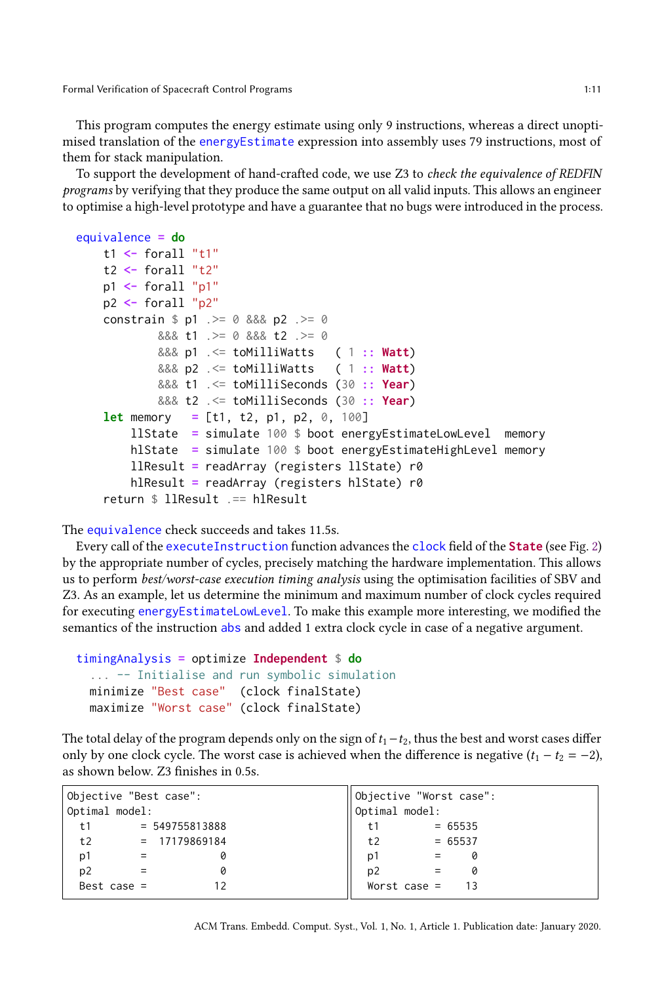This program computes the energy estimate using only 9 instructions, whereas a direct unoptimised translation of the energyEstimate expression into assembly uses 79 instructions, most of them for stack manipulation.

To support the development of hand-crafted code, we use Z3 to check the equivalence of REDFIN programs by verifying that they produce the same output on all valid inputs. This allows an engineer to optimise a high-level prototype and have a guarantee that no bugs were introduced in the process.

```
equivalence = do
   t1 <- forall "t1"
   t2 <- forall "t2"
   p1 <- forall "p1"
   p2 <- forall "p2"
   constrain $ p1 .>= 0 &&& p2 .>= 0
           &&& t1 .>= 0 &&& t2 .>= 0
           &&& p1 .<= toMilliWatts ( 1 :: Watt)
           &&& p2 .<= toMilliWatts ( 1 :: Watt)
           &&& t1 .<= toMilliSeconds (30 :: Year)
           &&& t2 .<= toMilliSeconds (30 :: Year)
   let memory = [t1, t2, p1, p2, 0, 100]
       llState = simulate 100 $ boot energyEstimateLowLevel memory
       hlState = simulate 100 $ boot energyEstimateHighLevel memory
       llResult = readArray (registers llState) r0
       hlResult = readArray (registers hlState) r0
   return $ llResult .== hlResult
```
The equivalence check succeeds and takes 11.5s.

Every call of the executeInstruction function advances the clock field of the **State** (see Fig. [2\)](#page-3-0) by the appropriate number of cycles, precisely matching the hardware implementation. This allows us to perform best/worst-case execution timing analysis using the optimisation facilities of SBV and Z3. As an example, let us determine the minimum and maximum number of clock cycles required for executing energyEstimateLowLevel. To make this example more interesting, we modified the semantics of the instruction abs and added 1 extra clock cycle in case of a negative argument.

```
timingAnalysis = optimize Independent $ do
  ... -- Initialise and run symbolic simulation
 minimize "Best case" (clock finalState)
 maximize "Worst case" (clock finalState)
```
The total delay of the program depends only on the sign of  $t_1-t_2$ , thus the best and worst cases differ only by one clock cycle. The worst case is achieved when the difference is negative  $(t_1 - t_2 = -2)$ , as shown below. Z3 finishes in 0.5s.

| Objective "Best case": |                  |   | Objective "Worst case": |                   |           |  |
|------------------------|------------------|---|-------------------------|-------------------|-----------|--|
| Optimal model:         |                  |   | Optimal model:          |                   |           |  |
| t1                     | $= 549755813888$ |   | t1                      |                   | $= 65535$ |  |
| t2                     | = 17179869184    |   | t2                      |                   | $= 65537$ |  |
| p1                     |                  | 0 | p1                      | $\equiv$ $\equiv$ | Ø         |  |
| p <sub>2</sub>         |                  | 0 | p <sub>2</sub>          |                   |           |  |
| Best case $=$          |                  |   | Worst case $=$          |                   |           |  |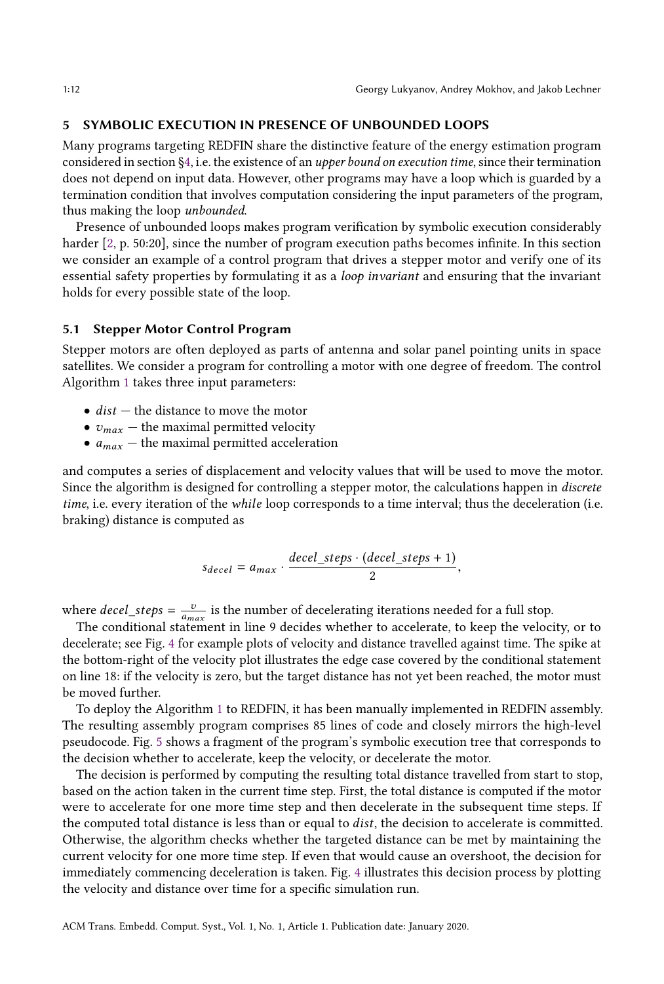# <span id="page-11-0"></span>5 SYMBOLIC EXECUTION IN PRESENCE OF UNBOUNDED LOOPS

Many programs targeting REDFIN share the distinctive feature of the energy estimation program considered in section [§4,](#page-7-0) i.e. the existence of an upper bound on execution time, since their termination does not depend on input data. However, other programs may have a loop which is guarded by a termination condition that involves computation considering the input parameters of the program, thus making the loop unbounded.

Presence of unbounded loops makes program verification by symbolic execution considerably harder [\[2,](#page-16-3) p. 50:20], since the number of program execution paths becomes infinite. In this section we consider an example of a control program that drives a stepper motor and verify one of its essential safety properties by formulating it as a loop invariant and ensuring that the invariant holds for every possible state of the loop.

### 5.1 Stepper Motor Control Program

Stepper motors are often deployed as parts of antenna and solar panel pointing units in space satellites. We consider a program for controlling a motor with one degree of freedom. The control Algorithm [1](#page-12-0) takes three input parameters:

- $dist$  the distance to move the motor
- $v_{max}$  the maximal permitted velocity
- $a_{max}$  the maximal permitted acceleration

and computes a series of displacement and velocity values that will be used to move the motor. Since the algorithm is designed for controlling a stepper motor, the calculations happen in discrete time, i.e. every iteration of the *while* loop corresponds to a time interval; thus the deceleration (i.e. braking) distance is computed as

$$
s_{decel} = a_{max} \cdot \frac{decel\_steps \cdot (decel\_steps + 1)}{2},
$$

where  $decel\_steps = \frac{v}{a_{max}}$  is the number of decelerating iterations needed for a full stop.<br>The conditional statement in line 0 decides whether to escolar to the values

The conditional statement in line 9 decides whether to accelerate, to keep the velocity, or to decelerate; see Fig. [4](#page-13-0) for example plots of velocity and distance travelled against time. The spike at the bottom-right of the velocity plot illustrates the edge case covered by the conditional statement on line 18: if the velocity is zero, but the target distance has not yet been reached, the motor must be moved further.

To deploy the Algorithm [1](#page-12-0) to REDFIN, it has been manually implemented in REDFIN assembly. The resulting assembly program comprises 85 lines of code and closely mirrors the high-level pseudocode. Fig. [5](#page-14-1) shows a fragment of the program's symbolic execution tree that corresponds to the decision whether to accelerate, keep the velocity, or decelerate the motor.

The decision is performed by computing the resulting total distance travelled from start to stop, based on the action taken in the current time step. First, the total distance is computed if the motor were to accelerate for one more time step and then decelerate in the subsequent time steps. If the computed total distance is less than or equal to *dist*, the decision to accelerate is committed. Otherwise, the algorithm checks whether the targeted distance can be met by maintaining the current velocity for one more time step. If even that would cause an overshoot, the decision for immediately commencing deceleration is taken. Fig. [4](#page-13-0) illustrates this decision process by plotting the velocity and distance over time for a specific simulation run.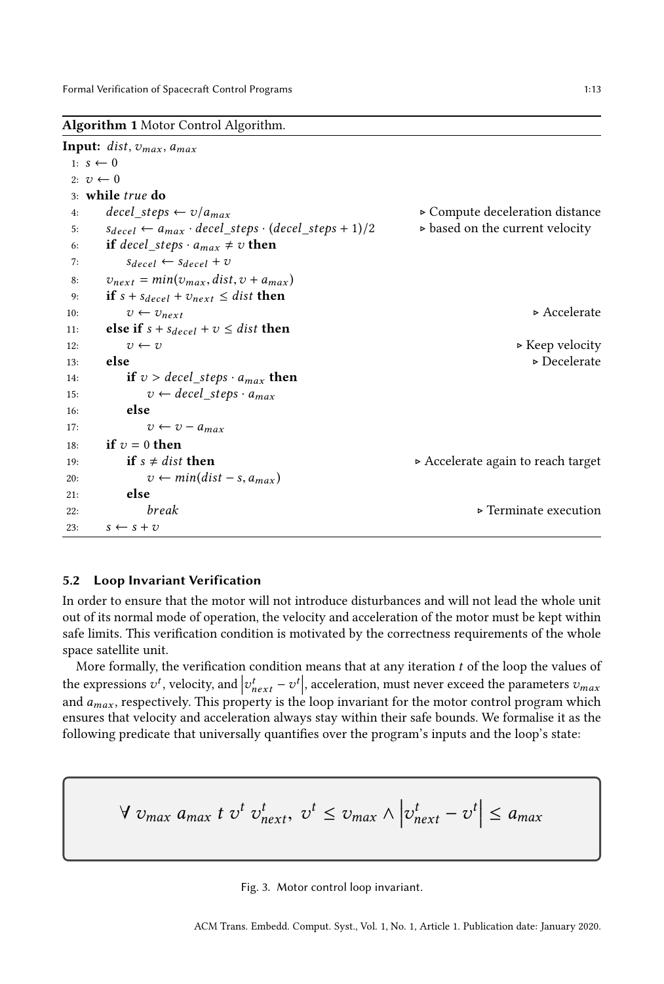<span id="page-12-0"></span>Algorithm 1 Motor Control Algorithm.

```
Input: dist, v_{max}, a_{max}1: s \leftarrow 02: v \leftarrow 03: while true do<br>4: decel steps \leftarrow v/a_{max}4: \text{decel\_steps} \leftarrow \frac{v}{a_{max}}<br>5: s_{max} \leftarrow a_{red\_steps} \left( \text{decel\_steps + 1} \right) / 2 \Rightarrow based on the current velocity
  5: s_{decel} \leftarrow a_{max} \cdot decel\_steps \cdot (decel\_steps + 1)/2 ⊳ based on the current velocity
  6: if decel_steps \cdot a_{max} \neq v then<br>7: S_{decel} \leftarrow S_{decel} + v7: S_{decel} \leftarrow S_{decel} + v<br>8: v_{part} = min(v_{max}.dist)8: v_{next} = min(v_{max}, dist, v + a_{max})<br>9: if s + s_{decel} + v_{next} \leq dist then
 9: if s + s_{decel} + v_{next} \leq dist then<br>10: v \leftarrow v_{next}10: v \leftarrow v_{next}<br>
also if s + s, v + z \leq dist then
 11: else if s + s_{decel} + v \leq dist then<br>12: v \leftarrow v12: v \leftarrow v \rightarrow Keep velocity
 13: else \rightarrow Decelerate \rightarrow Decelerate
 14: if v > decel\_steps \cdot a_{max} then<br>15: v \leftarrow decel\_steps \cdot a_{max}15: v \leftarrow decel\_steps \cdot a_{max}<br>16: else
               else
 17: v \leftarrow v - a_{max}<br>18: if v = 0 then
 18: if v = 0 then<br>19: if s \neq dist then
19: if s \neq dist then \rightarrow Accelerate again to reach target \rightarrow Accelerate again to reach target
20: v \leftarrow min(dist - s, a_{max})<br>21: else
               else
22: break \rightarrow Terminate execution s \leftarrow s + vs \leftarrow s + v
```
## 5.2 Loop Invariant Verification

In order to ensure that the motor will not introduce disturbances and will not lead the whole unit out of its normal mode of operation, the velocity and acceleration of the motor must be kept within safe limits. This verification condition is motivated by the correctness requirements of the whole space satellite unit.

More formally, the verification condition means that at any iteration  $t$  of the loop the values of the expressions  $v^t$ , velocity, and  $v_{next}^t - v^t$ <br>and a respectively. This property is the and  $a_{max}$ , respectively. This property is the loop invariant for the motor control program which<br>ensures that velocity and acceleration always stay within their safe bounds. We formalise it as the , acceleration, must never exceed the parameters  $v_{max}$ <br>also invariant for the motor control program which ensures that velocity and acceleration always stay within their safe bounds. We formalise it as the following predicate that universally quantifies over the program's inputs and the loop's state:

<span id="page-12-1"></span>
$$
\forall v_{max} a_{max} t v^t v_{next}^t, v^t \le v_{max} \land \left| v_{next}^t - v^t \right| \le a_{max}
$$

Fig. 3. Motor control loop invariant.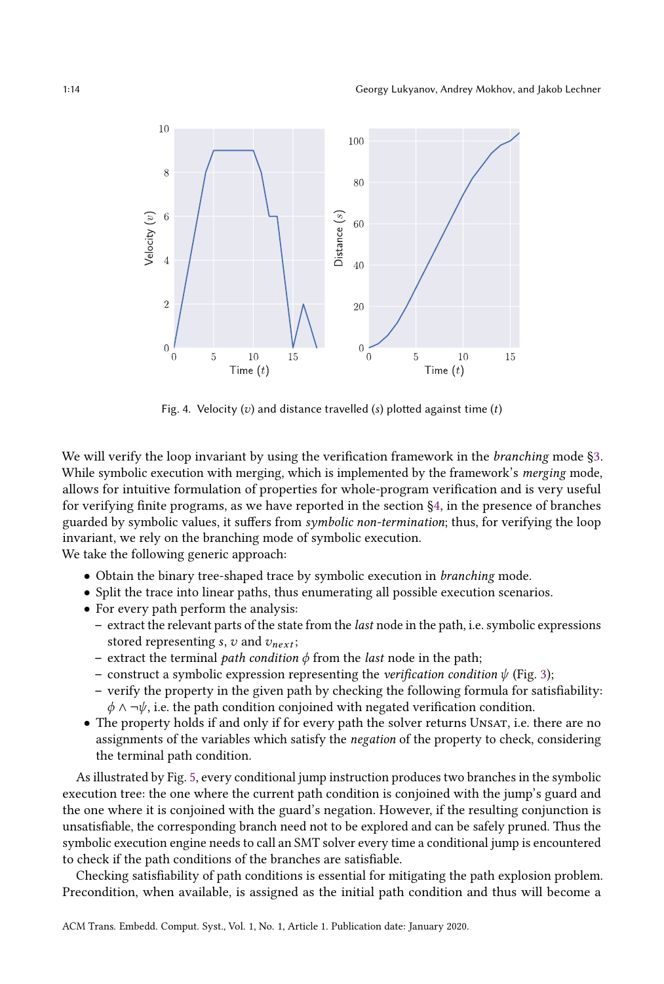<span id="page-13-0"></span>

Fig. 4. Velocity  $(v)$  and distance travelled  $(s)$  plotted against time  $(t)$ 

We will verify the loop invariant by using the verification framework in the *branching* mode [§3.](#page-2-0) While symbolic execution with merging, which is implemented by the framework's merging mode, allows for intuitive formulation of properties for whole-program verification and is very useful for verifying finite programs, as we have reported in the section [§4,](#page-7-0) in the presence of branches guarded by symbolic values, it suffers from symbolic non-termination; thus, for verifying the loop invariant, we rely on the branching mode of symbolic execution.

We take the following generic approach:

- Obtain the binary tree-shaped trace by symbolic execution in branching mode.
- Split the trace into linear paths, thus enumerating all possible execution scenarios.
- For every path perform the analysis:
	- extract the relevant parts of the state from the last node in the path, i.e. symbolic expressions stored representing s, v and  $v_{next}$ ;
	- extract the terminal *path condition*  $\phi$  from the *last* node in the path;
	- construct a symbolic expression representing the *verification condition*  $\psi$  (Fig. [3\)](#page-12-1);
	- verify the property in the given path by checking the following formula for satisfiability:  $\phi \land \neg \psi$ , i.e. the path condition conjoined with negated verification condition.
- The property holds if and only if for every path the solver returns UNSAT, i.e. there are no assignments of the variables which satisfy the negation of the property to check, considering the terminal path condition.

As illustrated by Fig. [5,](#page-14-1) every conditional jump instruction produces two branches in the symbolic execution tree: the one where the current path condition is conjoined with the jump's guard and the one where it is conjoined with the guard's negation. However, if the resulting conjunction is unsatisfiable, the corresponding branch need not to be explored and can be safely pruned. Thus the symbolic execution engine needs to call an SMT solver every time a conditional jump is encountered to check if the path conditions of the branches are satisfiable.

Checking satisfiability of path conditions is essential for mitigating the path explosion problem. Precondition, when available, is assigned as the initial path condition and thus will become a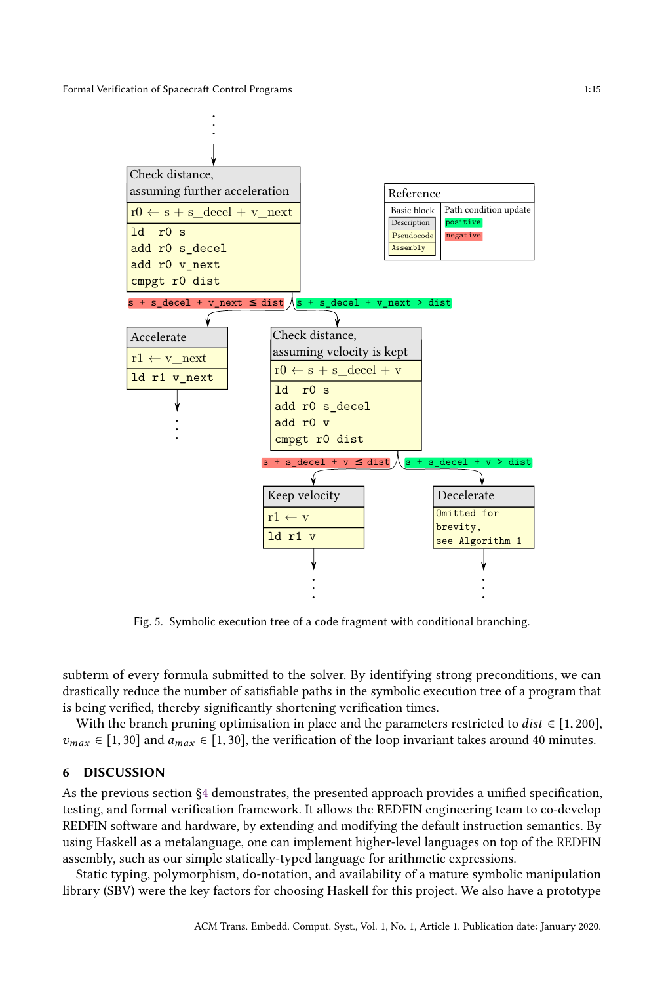<span id="page-14-1"></span>

Fig. 5. Symbolic execution tree of a code fragment with conditional branching.

subterm of every formula submitted to the solver. By identifying strong preconditions, we can drastically reduce the number of satisfiable paths in the symbolic execution tree of a program that is being verified, thereby significantly shortening verification times.

With the branch pruning optimisation in place and the parameters restricted to  $dist \in [1, 200]$ ,  $v_{max} \in [1, 30]$  and  $a_{max} \in [1, 30]$ , the verification of the loop invariant takes around 40 minutes.

#### <span id="page-14-0"></span>6 DISCUSSION

As the previous section [§4](#page-7-0) demonstrates, the presented approach provides a unified specification, testing, and formal verification framework. It allows the REDFIN engineering team to co-develop REDFIN software and hardware, by extending and modifying the default instruction semantics. By using Haskell as a metalanguage, one can implement higher-level languages on top of the REDFIN assembly, such as our simple statically-typed language for arithmetic expressions.

Static typing, polymorphism, do-notation, and availability of a mature symbolic manipulation library (SBV) were the key factors for choosing Haskell for this project. We also have a prototype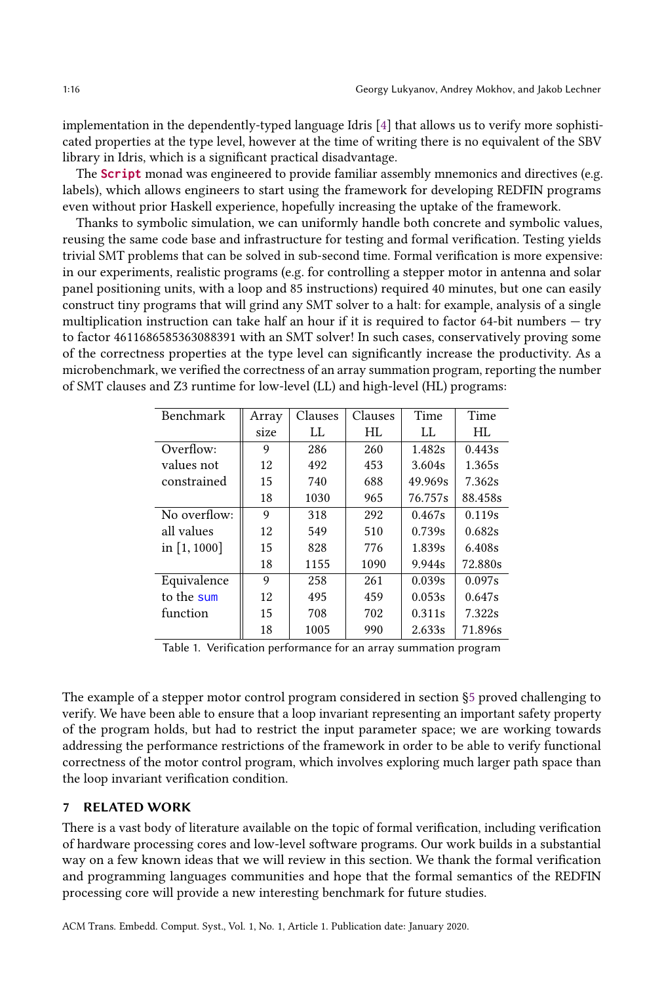implementation in the dependently-typed language Idris [\[4\]](#page-16-4) that allows us to verify more sophisticated properties at the type level, however at the time of writing there is no equivalent of the SBV library in Idris, which is a significant practical disadvantage.

The **Script** monad was engineered to provide familiar assembly mnemonics and directives (e.g. labels), which allows engineers to start using the framework for developing REDFIN programs even without prior Haskell experience, hopefully increasing the uptake of the framework.

Thanks to symbolic simulation, we can uniformly handle both concrete and symbolic values, reusing the same code base and infrastructure for testing and formal verification. Testing yields trivial SMT problems that can be solved in sub-second time. Formal verification is more expensive: in our experiments, realistic programs (e.g. for controlling a stepper motor in antenna and solar panel positioning units, with a loop and 85 instructions) required 40 minutes, but one can easily construct tiny programs that will grind any SMT solver to a halt: for example, analysis of a single multiplication instruction can take half an hour if it is required to factor 64-bit numbers — try to factor 4611686585363088391 with an SMT solver! In such cases, conservatively proving some of the correctness properties at the type level can significantly increase the productivity. As a microbenchmark, we verified the correctness of an array summation program, reporting the number of SMT clauses and Z3 runtime for low-level (LL) and high-level (HL) programs:

| <b>Benchmark</b> | Array | Clauses | Clauses | Time    | Time    |
|------------------|-------|---------|---------|---------|---------|
|                  | size  | LL      | HL      | LL      | HL      |
| Overflow:        | 9     | 286     | 260     | 1.482s  | 0.443s  |
| values not       | 12    | 492     | 453     | 3.604s  | 1.365s  |
| constrained      | 15    | 740     | 688     | 49.969s | 7.362s  |
|                  | 18    | 1030    | 965     | 76.757s | 88.458s |
| No overflow:     | 9     | 318     | 292     | 0.467s  | 0.119s  |
| all values       | 12    | 549     | 510     | 0.739s  | 0.682s  |
| in $[1, 1000]$   | 15    | 828     | 776     | 1.839s  | 6.408s  |
|                  | 18    | 1155    | 1090    | 9.944s  | 72.880s |
| Equivalence      | 9     | 258     | 261     | 0.039s  | 0.097s  |
| to the sum       | 12    | 495     | 459     | 0.053s  | 0.647s  |
| function         | 15    | 708     | 702     | 0.311s  | 7.322s  |
|                  | 18    | 1005    | 990     | 2.633s  | 71.896s |

Table 1. Verification performance for an array summation program

The example of a stepper motor control program considered in section [§5](#page-11-0) proved challenging to verify. We have been able to ensure that a loop invariant representing an important safety property of the program holds, but had to restrict the input parameter space; we are working towards addressing the performance restrictions of the framework in order to be able to verify functional correctness of the motor control program, which involves exploring much larger path space than the loop invariant verification condition.

# <span id="page-15-0"></span>7 RELATED WORK

There is a vast body of literature available on the topic of formal verification, including verification of hardware processing cores and low-level software programs. Our work builds in a substantial way on a few known ideas that we will review in this section. We thank the formal verification and programming languages communities and hope that the formal semantics of the REDFIN processing core will provide a new interesting benchmark for future studies.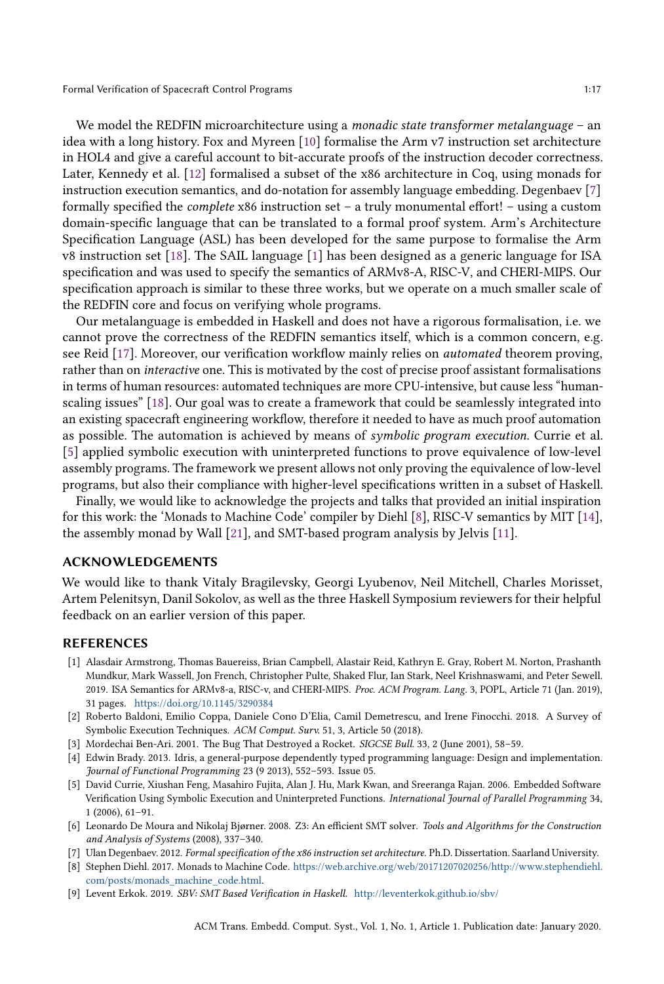We model the REDFIN microarchitecture using a *monadic state transformer metalanguage* – an idea with a long history. Fox and Myreen [\[10\]](#page-17-6) formalise the Arm v7 instruction set architecture in HOL4 and give a careful account to bit-accurate proofs of the instruction decoder correctness. Later, Kennedy et al. [\[12\]](#page-17-7) formalised a subset of the x86 architecture in Coq, using monads for instruction execution semantics, and do-notation for assembly language embedding. Degenbaev [\[7\]](#page-16-5) formally specified the complete x86 instruction set – a truly monumental effort! – using a custom domain-specific language that can be translated to a formal proof system. Arm's Architecture Specification Language (ASL) has been developed for the same purpose to formalise the Arm v8 instruction set [\[18\]](#page-17-8). The SAIL language [\[1\]](#page-16-6) has been designed as a generic language for ISA specification and was used to specify the semantics of ARMv8-A, RISC-V, and CHERI-MIPS. Our specification approach is similar to these three works, but we operate on a much smaller scale of the REDFIN core and focus on verifying whole programs.

Our metalanguage is embedded in Haskell and does not have a rigorous formalisation, i.e. we cannot prove the correctness of the REDFIN semantics itself, which is a common concern, e.g. see Reid [\[17\]](#page-17-9). Moreover, our verification workflow mainly relies on automated theorem proving, rather than on interactive one. This is motivated by the cost of precise proof assistant formalisations in terms of human resources: automated techniques are more CPU-intensive, but cause less "humanscaling issues" [\[18\]](#page-17-8). Our goal was to create a framework that could be seamlessly integrated into an existing spacecraft engineering workflow, therefore it needed to have as much proof automation as possible. The automation is achieved by means of symbolic program execution. Currie et al. [\[5\]](#page-16-7) applied symbolic execution with uninterpreted functions to prove equivalence of low-level assembly programs. The framework we present allows not only proving the equivalence of low-level programs, but also their compliance with higher-level specifications written in a subset of Haskell.

Finally, we would like to acknowledge the projects and talks that provided an initial inspiration for this work: the 'Monads to Machine Code' compiler by Diehl [\[8\]](#page-16-8), RISC-V semantics by MIT [\[14\]](#page-17-10), the assembly monad by Wall [\[21\]](#page-17-11), and SMT-based program analysis by Jelvis [\[11\]](#page-17-12).

#### ACKNOWLEDGEMENTS

We would like to thank Vitaly Bragilevsky, Georgi Lyubenov, Neil Mitchell, Charles Morisset, Artem Pelenitsyn, Danil Sokolov, as well as the three Haskell Symposium reviewers for their helpful feedback on an earlier version of this paper.

## **REFERENCES**

- <span id="page-16-6"></span>[1] Alasdair Armstrong, Thomas Bauereiss, Brian Campbell, Alastair Reid, Kathryn E. Gray, Robert M. Norton, Prashanth Mundkur, Mark Wassell, Jon French, Christopher Pulte, Shaked Flur, Ian Stark, Neel Krishnaswami, and Peter Sewell. 2019. ISA Semantics for ARMv8-a, RISC-v, and CHERI-MIPS. Proc. ACM Program. Lang. 3, POPL, Article 71 (Jan. 2019), 31 pages. <https://doi.org/10.1145/3290384>
- <span id="page-16-3"></span>[2] Roberto Baldoni, Emilio Coppa, Daniele Cono D'Elia, Camil Demetrescu, and Irene Finocchi. 2018. A Survey of Symbolic Execution Techniques. ACM Comput. Surv. 51, 3, Article 50 (2018).
- <span id="page-16-0"></span>[3] Mordechai Ben-Ari. 2001. The Bug That Destroyed a Rocket. SIGCSE Bull. 33, 2 (June 2001), 58–59.
- <span id="page-16-4"></span>[4] Edwin Brady. 2013. Idris, a general-purpose dependently typed programming language: Design and implementation. Journal of Functional Programming 23 (9 2013), 552–593. Issue 05.
- <span id="page-16-7"></span>[5] David Currie, Xiushan Feng, Masahiro Fujita, Alan J. Hu, Mark Kwan, and Sreeranga Rajan. 2006. Embedded Software Verification Using Symbolic Execution and Uninterpreted Functions. International Journal of Parallel Programming 34, 1 (2006), 61–91.
- <span id="page-16-1"></span>[6] Leonardo De Moura and Nikolaj Bjørner. 2008. Z3: An efficient SMT solver. Tools and Algorithms for the Construction and Analysis of Systems (2008), 337–340.
- <span id="page-16-5"></span>[7] Ulan Degenbaev. 2012. Formal specification of the x86 instruction set architecture. Ph.D. Dissertation. Saarland University.
- <span id="page-16-8"></span>[8] Stephen Diehl. 2017. Monads to Machine Code. [https://web.archive.org/web/20171207020256/http://www.stephendiehl.](https://web.archive.org/web/20171207020256/http://www.stephendiehl.com/posts/monads_machine_code.html) [com/posts/monads\\_machine\\_code.html.](https://web.archive.org/web/20171207020256/http://www.stephendiehl.com/posts/monads_machine_code.html)
- <span id="page-16-2"></span>[9] Levent Erkok. 2019. SBV: SMT Based Verification in Haskell. <http://leventerkok.github.io/sbv/>